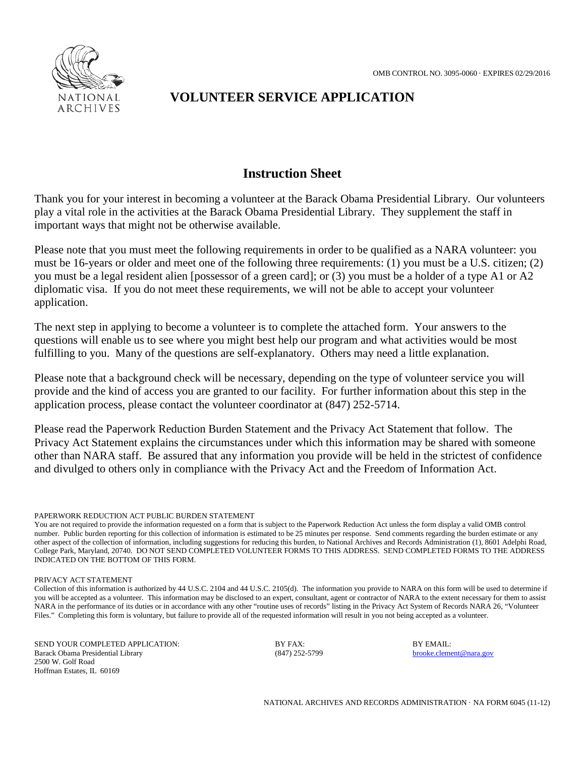

# **VOLUNTEER SERVICE APPLICATION**

### **Instruction Sheet**

Thank you for your interest in becoming a volunteer at the Barack Obama Presidential Library. Our volunteers play a vital role in the activities at the Barack Obama Presidential Library. They supplement the staff in important ways that might not be otherwise available.

Please note that you must meet the following requirements in order to be qualified as a NARA volunteer: you must be 16-years or older and meet one of the following three requirements: (1) you must be a U.S. citizen; (2) you must be a legal resident alien [possessor of a green card]; or (3) you must be a holder of a type A1 or A2 diplomatic visa. If you do not meet these requirements, we will not be able to accept your volunteer application.

The next step in applying to become a volunteer is to complete the attached form. Your answers to the questions will enable us to see where you might best help our program and what activities would be most fulfilling to you. Many of the questions are self-explanatory. Others may need a little explanation.

Please note that a background check will be necessary, depending on the type of volunteer service you will provide and the kind of access you are granted to our facility. For further information about this step in the application process, please contact the volunteer coordinator at (847) 252-5714.

Please read the Paperwork Reduction Burden Statement and the Privacy Act Statement that follow. The Privacy Act Statement explains the circumstances under which this information may be shared with someone other than NARA staff. Be assured that any information you provide will be held in the strictest of confidence and divulged to others only in compliance with the Privacy Act and the Freedom of Information Act.

#### PAPERWORK REDUCTION ACT PUBLIC BURDEN STATEMENT

You are not required to provide the information requested on a form that is subject to the Paperwork Reduction Act unless the form display a valid OMB control number. Public burden reporting for this collection of information is estimated to be 25 minutes per response. Send comments regarding the burden estimate or any other aspect of the collection of information, including suggestions for reducing this burden, to National Archives and Records Administration (1), 8601 Adelphi Road, College Park, Maryland, 20740. DO NOT SEND COMPLETED VOLUNTEER FORMS TO THIS ADDRESS. SEND COMPLETED FORMS TO THE ADDRESS INDICATED ON THE BOTTOM OF THIS FORM.

PRIVACY ACT STATEMENT

Collection of this information is authorized by 44 U.S.C. 2104 and 44 U.S.C. 2105(d). The information you provide to NARA on this form will be used to determine if you will be accepted as a volunteer. This information may be disclosed to an expert, consultant, agent or contractor of NARA to the extent necessary for them to assist NARA in the performance of its duties or in accordance with any other "routine uses of records" listing in the Privacy Act System of Records NARA 26, "Volunteer Files." Completing this form is voluntary, but failure to provide all of the requested information will result in you not being accepted as a volunteer.

SEND YOUR COMPLETED APPLICATION: BY FAX: BY FAX: BY EMAIL: Barack Obama Presidential Library (847) 252-5799 [brooke.clement@nara.gov](mailto:brooke.clement@nara.gov) 2500 W. Golf Road Hoffman Estates, IL 60169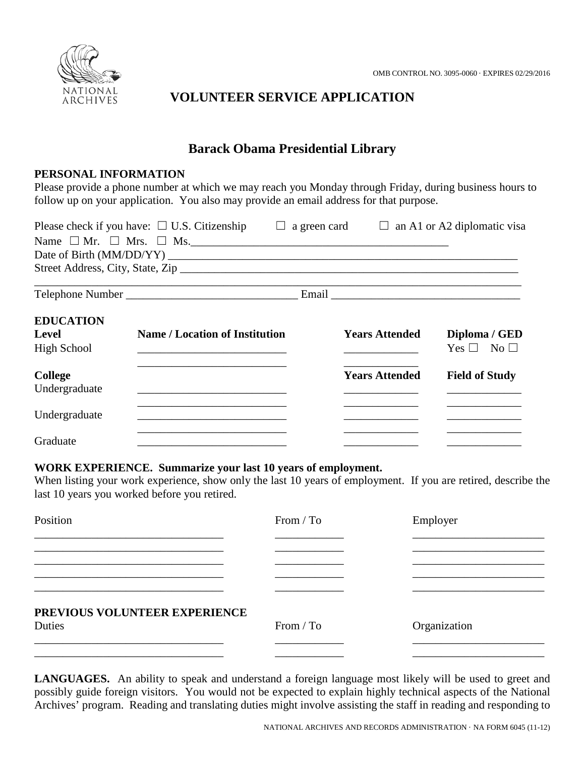

## **VOLUNTEER SERVICE APPLICATION**

## **Barack Obama Presidential Library**

#### **PERSONAL INFORMATION**

Please provide a phone number at which we may reach you Monday through Friday, during business hours to follow up on your application. You also may provide an email address for that purpose.

| Please check if you have: $\Box$ U.S. Citizenship<br>⊔<br>Name $\Box$ Mr. $\Box$ Mrs. $\Box$ Ms. |                                       | a green card | $\Box$                | an A1 or A2 diplomatic visa |
|--------------------------------------------------------------------------------------------------|---------------------------------------|--------------|-----------------------|-----------------------------|
|                                                                                                  |                                       |              |                       |                             |
|                                                                                                  |                                       |              |                       |                             |
|                                                                                                  |                                       |              |                       |                             |
|                                                                                                  |                                       |              |                       |                             |
| <b>EDUCATION</b>                                                                                 |                                       |              |                       |                             |
| Level                                                                                            | <b>Name / Location of Institution</b> |              | <b>Years Attended</b> | Diploma / GED               |
| <b>High School</b>                                                                               |                                       |              |                       | No <sub>1</sub><br>Yes      |
| <b>College</b>                                                                                   |                                       |              | <b>Years Attended</b> | <b>Field of Study</b>       |
| Undergraduate                                                                                    |                                       |              |                       |                             |
| Undergraduate                                                                                    |                                       |              |                       |                             |
| Graduate                                                                                         |                                       |              |                       |                             |

#### **WORK EXPERIENCE. Summarize your last 10 years of employment.**

When listing your work experience, show only the last 10 years of employment. If you are retired, describe the last 10 years you worked before you retired.

| Position                      | From / To | Employer     |
|-------------------------------|-----------|--------------|
|                               |           |              |
|                               |           |              |
|                               |           |              |
| PREVIOUS VOLUNTEER EXPERIENCE |           |              |
| Duties                        | From / To | Organization |
|                               |           |              |

**LANGUAGES.** An ability to speak and understand a foreign language most likely will be used to greet and possibly guide foreign visitors. You would not be expected to explain highly technical aspects of the National Archives' program. Reading and translating duties might involve assisting the staff in reading and responding to